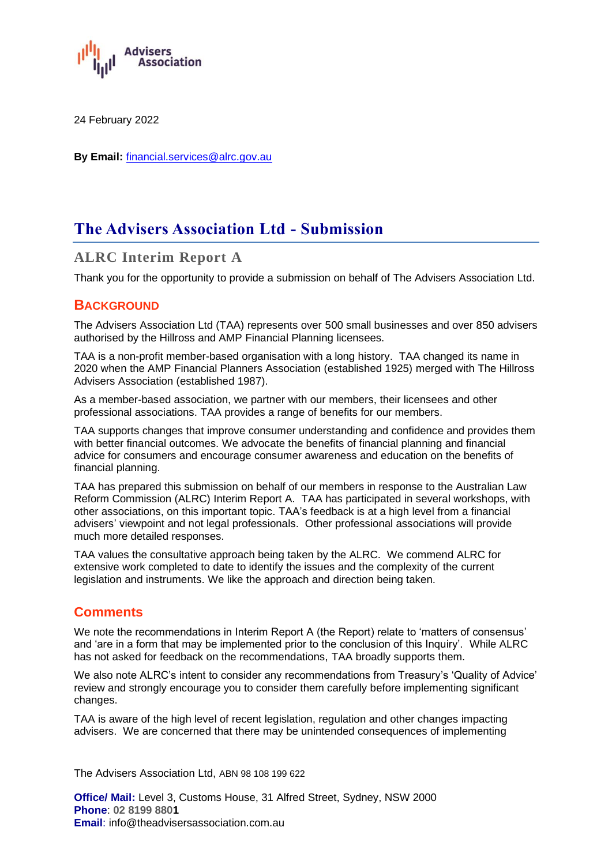

24 February 2022

**By Email:** financial.services@alrc.gov.au

# **The Advisers Association Ltd - Submission**

# **ALRC Interim Report A**

Thank you for the opportunity to provide a submission on behalf of The Advisers Association Ltd.

# **BACKGROUND**

The Advisers Association Ltd (TAA) represents over 500 small businesses and over 850 advisers authorised by the Hillross and AMP Financial Planning licensees.

TAA is a non-profit member-based organisation with a long history. TAA changed its name in 2020 when the AMP Financial Planners Association (established 1925) merged with The Hillross Advisers Association (established 1987).

As a member-based association, we partner with our members, their licensees and other professional associations. TAA provides a range of benefits for our members.

TAA supports changes that improve consumer understanding and confidence and provides them with better financial outcomes. We advocate the benefits of financial planning and financial advice for consumers and encourage consumer awareness and education on the benefits of financial planning.

TAA has prepared this submission on behalf of our members in response to the Australian Law Reform Commission (ALRC) Interim Report A. TAA has participated in several workshops, with other associations, on this important topic. TAA's feedback is at a high level from a financial advisers' viewpoint and not legal professionals. Other professional associations will provide much more detailed responses.

TAA values the consultative approach being taken by the ALRC. We commend ALRC for extensive work completed to date to identify the issues and the complexity of the current legislation and instruments. We like the approach and direction being taken.

# **Comments**

We note the recommendations in Interim Report A (the Report) relate to 'matters of consensus' and 'are in a form that may be implemented prior to the conclusion of this Inquiry'. While ALRC has not asked for feedback on the recommendations, TAA broadly supports them.

We also note ALRC's intent to consider any recommendations from Treasury's 'Quality of Advice' review and strongly encourage you to consider them carefully before implementing significant changes.

TAA is aware of the high level of recent legislation, regulation and other changes impacting advisers. We are concerned that there may be unintended consequences of implementing

The Advisers Association Ltd, ABN 98 108 199 622

**Office/ Mail:** Level 3, Customs House, 31 Alfred Street, Sydney, NSW 2000 **Phone**: **02 8199 8801 Email:** info@theadvisersassociation.com.au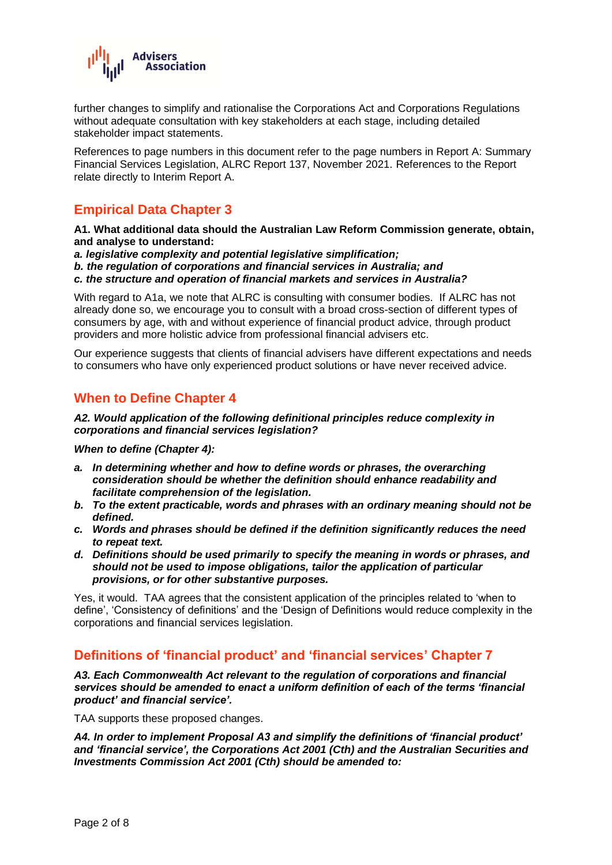

further changes to simplify and rationalise the Corporations Act and Corporations Regulations without adequate consultation with key stakeholders at each stage, including detailed stakeholder impact statements.

References to page numbers in this document refer to the page numbers in Report A: Summary Financial Services Legislation, ALRC Report 137, November 2021. References to the Report relate directly to Interim Report A.

# **Empirical Data Chapter 3**

**A1. What additional data should the Australian Law Reform Commission generate, obtain, and analyse to understand:** 

- *a. legislative complexity and potential legislative simplification;*
- *b. the regulation of corporations and financial services in Australia; and*
- *c. the structure and operation of financial markets and services in Australia?*

With regard to A1a, we note that ALRC is consulting with consumer bodies. If ALRC has not already done so, we encourage you to consult with a broad cross-section of different types of consumers by age, with and without experience of financial product advice, through product providers and more holistic advice from professional financial advisers etc.

Our experience suggests that clients of financial advisers have different expectations and needs to consumers who have only experienced product solutions or have never received advice.

# **When to Define Chapter 4**

#### *A2. Would application of the following definitional principles reduce complexity in corporations and financial services legislation?*

*When to define (Chapter 4):*

- *a. In determining whether and how to define words or phrases, the overarching consideration should be whether the definition should enhance readability and facilitate comprehension of the legislation.*
- *b. To the extent practicable, words and phrases with an ordinary meaning should not be defined.*
- *c. Words and phrases should be defined if the definition significantly reduces the need to repeat text.*
- *d. Definitions should be used primarily to specify the meaning in words or phrases, and should not be used to impose obligations, tailor the application of particular provisions, or for other substantive purposes.*

Yes, it would. TAA agrees that the consistent application of the principles related to 'when to define', 'Consistency of definitions' and the 'Design of Definitions would reduce complexity in the corporations and financial services legislation.

# **Definitions of 'financial product' and 'financial services' Chapter 7**

*A3. Each Commonwealth Act relevant to the regulation of corporations and financial services should be amended to enact a uniform definition of each of the terms 'financial product' and financial service'.*

TAA supports these proposed changes.

*A4. In order to implement Proposal A3 and simplify the definitions of 'financial product' and 'financial service', the Corporations Act 2001 (Cth) and the Australian Securities and Investments Commission Act 2001 (Cth) should be amended to:*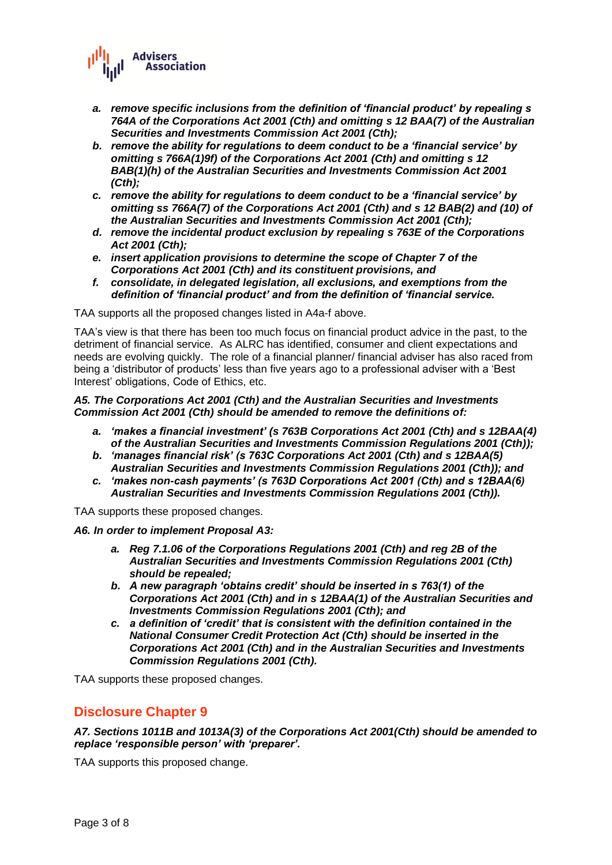

- *a. remove specific inclusions from the definition of 'financial product' by repealing s 764A of the Corporations Act 2001 (Cth) and omitting s 12 BAA(7) of the Australian Securities and Investments Commission Act 2001 (Cth);*
- *b. remove the ability for regulations to deem conduct to be a 'financial service' by omitting s 766A(1)9f) of the Corporations Act 2001 (Cth) and omitting s 12 BAB(1)(h) of the Australian Securities and Investments Commission Act 2001 (Cth);*
- *c. remove the ability for regulations to deem conduct to be a 'financial service' by omitting ss 766A(7) of the Corporations Act 2001 (Cth) and s 12 BAB(2) and (10) of the Australian Securities and Investments Commission Act 2001 (Cth);*
- *d. remove the incidental product exclusion by repealing s 763E of the Corporations Act 2001 (Cth);*
- *e. insert application provisions to determine the scope of Chapter 7 of the Corporations Act 2001 (Cth) and its constituent provisions, and*
- *f. consolidate, in delegated legislation, all exclusions, and exemptions from the definition of 'financial product' and from the definition of 'financial service.*

TAA supports all the proposed changes listed in A4a-f above.

TAA's view is that there has been too much focus on financial product advice in the past, to the detriment of financial service. As ALRC has identified, consumer and client expectations and needs are evolving quickly. The role of a financial planner/ financial adviser has also raced from being a 'distributor of products' less than five years ago to a professional adviser with a 'Best Interest' obligations, Code of Ethics, etc.

*A5. The Corporations Act 2001 (Cth) and the Australian Securities and Investments Commission Act 2001 (Cth) should be amended to remove the definitions of:*

- *a. 'makes a financial investment' (s 763B Corporations Act 2001 (Cth) and s 12BAA(4) of the Australian Securities and Investments Commission Regulations 2001 (Cth));*
- *b. 'manages financial risk' (s 763C Corporations Act 2001 (Cth) and s 12BAA(5) Australian Securities and Investments Commission Regulations 2001 (Cth)); and*
- *c. 'makes non-cash payments' (s 763D Corporations Act 2001 (Cth) and s 12BAA(6) Australian Securities and Investments Commission Regulations 2001 (Cth)).*

TAA supports these proposed changes.

#### *A6. In order to implement Proposal A3:*

- *a. Reg 7.1.06 of the Corporations Regulations 2001 (Cth) and reg 2B of the Australian Securities and Investments Commission Regulations 2001 (Cth) should be repealed;*
- *b. A new paragraph 'obtains credit' should be inserted in s 763(1) of the Corporations Act 2001 (Cth) and in s 12BAA(1) of the Australian Securities and Investments Commission Regulations 2001 (Cth); and*
- *c. a definition of 'credit' that is consistent with the definition contained in the National Consumer Credit Protection Act (Cth) should be inserted in the Corporations Act 2001 (Cth) and in the Australian Securities and Investments Commission Regulations 2001 (Cth).*

TAA supports these proposed changes.

# **Disclosure Chapter 9**

*A7. Sections 1011B and 1013A(3) of the Corporations Act 2001(Cth) should be amended to replace 'responsible person' with 'preparer'.*

TAA supports this proposed change.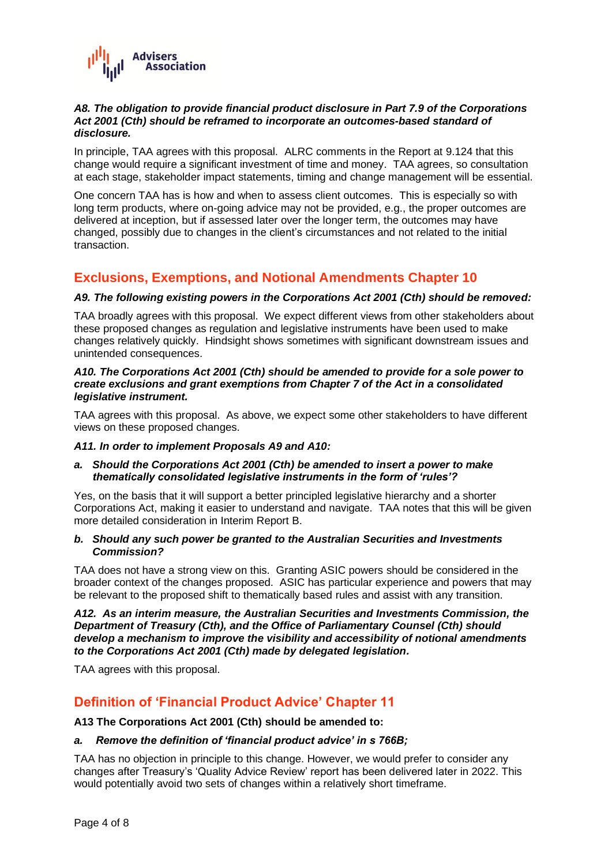

### *A8. The obligation to provide financial product disclosure in Part 7.9 of the Corporations Act 2001 (Cth) should be reframed to incorporate an outcomes-based standard of disclosure.*

In principle, TAA agrees with this proposal. ALRC comments in the Report at 9.124 that this change would require a significant investment of time and money. TAA agrees, so consultation at each stage, stakeholder impact statements, timing and change management will be essential.

One concern TAA has is how and when to assess client outcomes. This is especially so with long term products, where on-going advice may not be provided, e.g., the proper outcomes are delivered at inception, but if assessed later over the longer term, the outcomes may have changed, possibly due to changes in the client's circumstances and not related to the initial transaction.

# **Exclusions, Exemptions, and Notional Amendments Chapter 10**

# *A9. The following existing powers in the Corporations Act 2001 (Cth) should be removed:*

TAA broadly agrees with this proposal. We expect different views from other stakeholders about these proposed changes as regulation and legislative instruments have been used to make changes relatively quickly. Hindsight shows sometimes with significant downstream issues and unintended consequences.

### *A10. The Corporations Act 2001 (Cth) should be amended to provide for a sole power to create exclusions and grant exemptions from Chapter 7 of the Act in a consolidated legislative instrument.*

TAA agrees with this proposal. As above, we expect some other stakeholders to have different views on these proposed changes.

## *A11. In order to implement Proposals A9 and A10:*

## *a. Should the Corporations Act 2001 (Cth) be amended to insert a power to make thematically consolidated legislative instruments in the form of 'rules'?*

Yes, on the basis that it will support a better principled legislative hierarchy and a shorter Corporations Act, making it easier to understand and navigate. TAA notes that this will be given more detailed consideration in Interim Report B.

## *b. Should any such power be granted to the Australian Securities and Investments Commission?*

TAA does not have a strong view on this. Granting ASIC powers should be considered in the broader context of the changes proposed. ASIC has particular experience and powers that may be relevant to the proposed shift to thematically based rules and assist with any transition.

*A12. As an interim measure, the Australian Securities and Investments Commission, the Department of Treasury (Cth), and the Office of Parliamentary Counsel (Cth) should develop a mechanism to improve the visibility and accessibility of notional amendments to the Corporations Act 2001 (Cth) made by delegated legislation.*

TAA agrees with this proposal.

# **Definition of 'Financial Product Advice' Chapter 11**

**A13 The Corporations Act 2001 (Cth) should be amended to:**

## *a. Remove the definition of 'financial product advice' in s 766B;*

TAA has no objection in principle to this change. However, we would prefer to consider any changes after Treasury's 'Quality Advice Review' report has been delivered later in 2022. This would potentially avoid two sets of changes within a relatively short timeframe.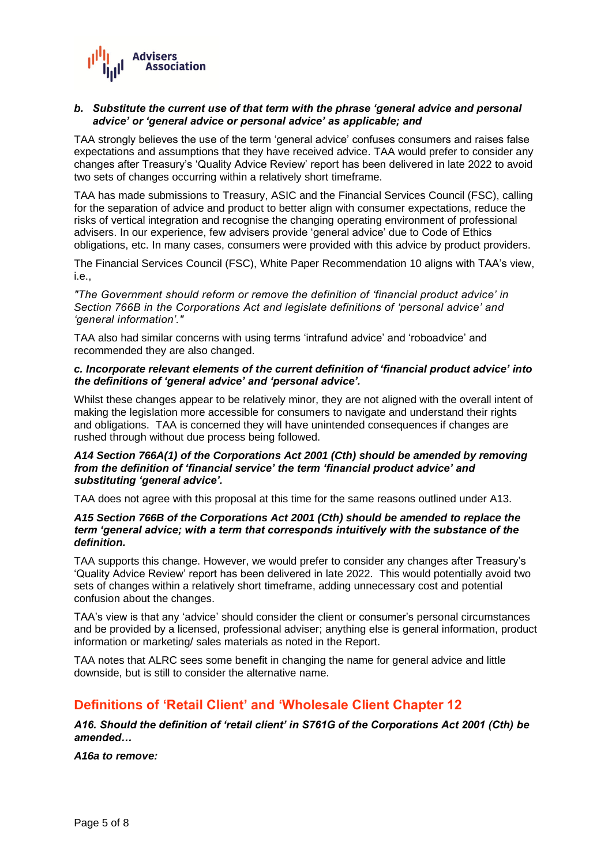

### *b. Substitute the current use of that term with the phrase 'general advice and personal advice' or 'general advice or personal advice' as applicable; and*

TAA strongly believes the use of the term 'general advice' confuses consumers and raises false expectations and assumptions that they have received advice. TAA would prefer to consider any changes after Treasury's 'Quality Advice Review' report has been delivered in late 2022 to avoid two sets of changes occurring within a relatively short timeframe.

TAA has made submissions to Treasury, ASIC and the Financial Services Council (FSC), calling for the separation of advice and product to better align with consumer expectations, reduce the risks of vertical integration and recognise the changing operating environment of professional advisers. In our experience, few advisers provide 'general advice' due to Code of Ethics obligations, etc. In many cases, consumers were provided with this advice by product providers.

The Financial Services Council (FSC), White Paper Recommendation 10 aligns with TAA's view, i.e.,

*"The Government should reform or remove the definition of 'financial product advice' in Section 766B in the Corporations Act and legislate definitions of 'personal advice' and 'general information'."*

TAA also had similar concerns with using terms 'intrafund advice' and 'roboadvice' and recommended they are also changed.

### *c. Incorporate relevant elements of the current definition of 'financial product advice' into the definitions of 'general advice' and 'personal advice'.*

Whilst these changes appear to be relatively minor, they are not aligned with the overall intent of making the legislation more accessible for consumers to navigate and understand their rights and obligations. TAA is concerned they will have unintended consequences if changes are rushed through without due process being followed.

### *A14 Section 766A(1) of the Corporations Act 2001 (Cth) should be amended by removing from the definition of 'financial service' the term 'financial product advice' and substituting 'general advice'.*

TAA does not agree with this proposal at this time for the same reasons outlined under A13.

### *A15 Section 766B of the Corporations Act 2001 (Cth) should be amended to replace the term 'general advice; with a term that corresponds intuitively with the substance of the definition.*

TAA supports this change. However, we would prefer to consider any changes after Treasury's 'Quality Advice Review' report has been delivered in late 2022. This would potentially avoid two sets of changes within a relatively short timeframe, adding unnecessary cost and potential confusion about the changes.

TAA's view is that any 'advice' should consider the client or consumer's personal circumstances and be provided by a licensed, professional adviser; anything else is general information, product information or marketing/ sales materials as noted in the Report.

TAA notes that ALRC sees some benefit in changing the name for general advice and little downside, but is still to consider the alternative name.

# **Definitions of 'Retail Client' and 'Wholesale Client Chapter 12**

*A16. Should the definition of 'retail client' in S761G of the Corporations Act 2001 (Cth) be amended…*

*A16a to remove:*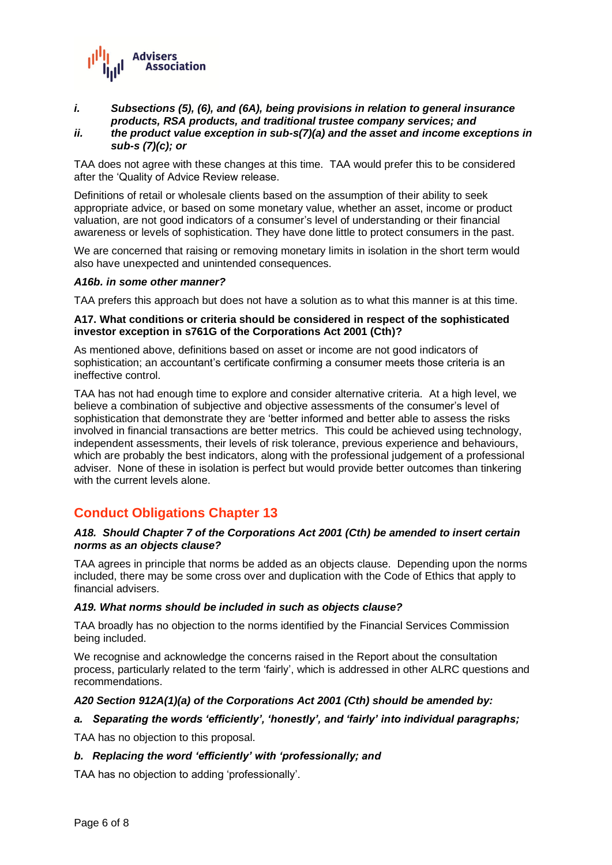

# *i. Subsections (5), (6), and (6A), being provisions in relation to general insurance products, RSA products, and traditional trustee company services; and*

#### *ii. the product value exception in sub-s(7)(a) and the asset and income exceptions in sub-s (7)(c); or*

TAA does not agree with these changes at this time. TAA would prefer this to be considered after the 'Quality of Advice Review release.

Definitions of retail or wholesale clients based on the assumption of their ability to seek appropriate advice, or based on some monetary value, whether an asset, income or product valuation, are not good indicators of a consumer's level of understanding or their financial awareness or levels of sophistication. They have done little to protect consumers in the past.

We are concerned that raising or removing monetary limits in isolation in the short term would also have unexpected and unintended consequences.

### *A16b. in some other manner?*

TAA prefers this approach but does not have a solution as to what this manner is at this time.

#### **A17. What conditions or criteria should be considered in respect of the sophisticated investor exception in s761G of the Corporations Act 2001 (Cth)?**

As mentioned above, definitions based on asset or income are not good indicators of sophistication; an accountant's certificate confirming a consumer meets those criteria is an ineffective control.

TAA has not had enough time to explore and consider alternative criteria. At a high level, we believe a combination of subjective and objective assessments of the consumer's level of sophistication that demonstrate they are 'better informed and better able to assess the risks involved in financial transactions are better metrics. This could be achieved using technology, independent assessments, their levels of risk tolerance, previous experience and behaviours, which are probably the best indicators, along with the professional judgement of a professional adviser. None of these in isolation is perfect but would provide better outcomes than tinkering with the current levels alone.

# **Conduct Obligations Chapter 13**

### *A18. Should Chapter 7 of the Corporations Act 2001 (Cth) be amended to insert certain norms as an objects clause?*

TAA agrees in principle that norms be added as an objects clause. Depending upon the norms included, there may be some cross over and duplication with the Code of Ethics that apply to financial advisers.

#### *A19. What norms should be included in such as objects clause?*

TAA broadly has no objection to the norms identified by the Financial Services Commission being included.

We recognise and acknowledge the concerns raised in the Report about the consultation process, particularly related to the term 'fairly', which is addressed in other ALRC questions and recommendations.

## *A20 Section 912A(1)(a) of the Corporations Act 2001 (Cth) should be amended by:*

## *a. Separating the words 'efficiently', 'honestly', and 'fairly' into individual paragraphs;*

TAA has no objection to this proposal.

#### *b. Replacing the word 'efficiently' with 'professionally; and*

TAA has no objection to adding 'professionally'.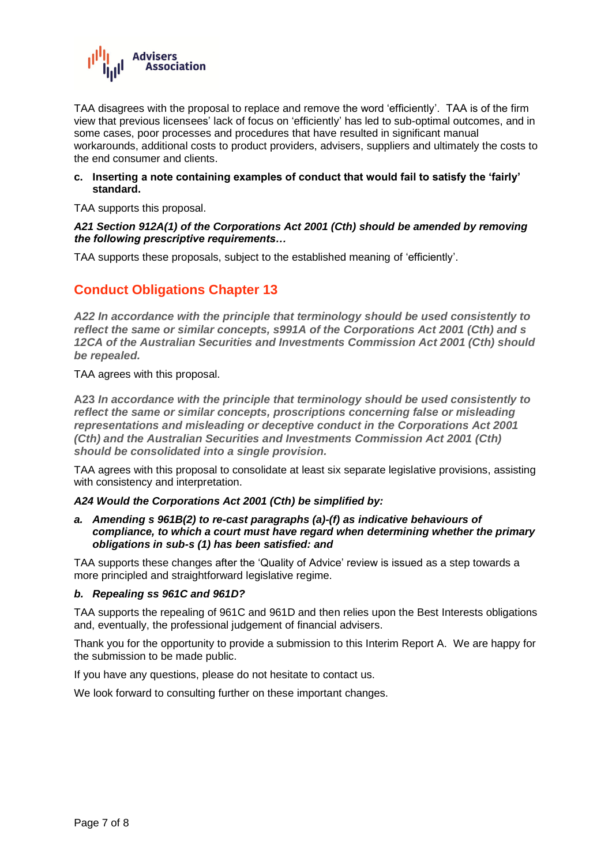

TAA disagrees with the proposal to replace and remove the word 'efficiently'. TAA is of the firm view that previous licensees' lack of focus on 'efficiently' has led to sub-optimal outcomes, and in some cases, poor processes and procedures that have resulted in significant manual workarounds, additional costs to product providers, advisers, suppliers and ultimately the costs to the end consumer and clients.

### **c. Inserting a note containing examples of conduct that would fail to satisfy the 'fairly' standard.**

TAA supports this proposal.

## *A21 Section 912A(1) of the Corporations Act 2001 (Cth) should be amended by removing the following prescriptive requirements…*

TAA supports these proposals, subject to the established meaning of 'efficiently'.

# **Conduct Obligations Chapter 13**

*A22 In accordance with the principle that terminology should be used consistently to reflect the same or similar concepts, s991A of the Corporations Act 2001 (Cth) and s 12CA of the Australian Securities and Investments Commission Act 2001 (Cth) should be repealed.*

TAA agrees with this proposal.

**A23** *In accordance with the principle that terminology should be used consistently to reflect the same or similar concepts, proscriptions concerning false or misleading representations and misleading or deceptive conduct in the Corporations Act 2001 (Cth) and the Australian Securities and Investments Commission Act 2001 (Cth) should be consolidated into a single provision.*

TAA agrees with this proposal to consolidate at least six separate legislative provisions, assisting with consistency and interpretation.

#### *A24 Would the Corporations Act 2001 (Cth) be simplified by:*

*a. Amending s 961B(2) to re-cast paragraphs (a)-(f) as indicative behaviours of compliance, to which a court must have regard when determining whether the primary obligations in sub-s (1) has been satisfied: and*

TAA supports these changes after the 'Quality of Advice' review is issued as a step towards a more principled and straightforward legislative regime.

## *b. Repealing ss 961C and 961D?*

TAA supports the repealing of 961C and 961D and then relies upon the Best Interests obligations and, eventually, the professional judgement of financial advisers.

Thank you for the opportunity to provide a submission to this Interim Report A. We are happy for the submission to be made public.

If you have any questions, please do not hesitate to contact us.

We look forward to consulting further on these important changes.